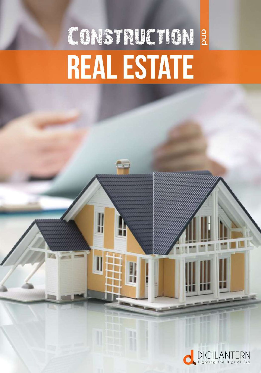# CONSTRUCTION 3 **REAL ESTATE**

W

I

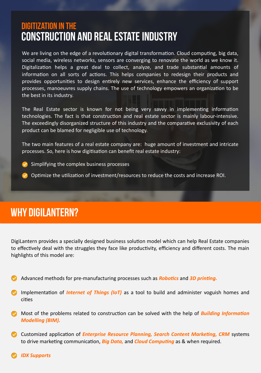### Digitization in the Construction and Real Estate Industry

We are living on the edge of a revolutionary digital transformation. Cloud computing, big data, social media, wireless networks, sensors are converging to renovate the world as we know it. Digitalization helps a great deal to collect, analyze, and trade substantial amounts of information on all sorts of actions. This helps companies to redesign their products and provides opportunities to design entirely new services, enhance the efficiency of support processes, manoeuvres supply chains. The use of technology empowers an organization to be the best in its industry.

The Real Estate sector is known for not being very savvy in implementing information technologies. The fact is that construction and real estate sector is mainly labour-intensive. The exceedingly disorganized structure of this industry and the comparative exclusivity of each product can be blamed for negligible use of technology.

The two main features of a real estate company are: huge amount of investment and intricate processes. So, here is how digitisation can benefit real estate industry:

- Simplifying the complex business processes
- Optimize the utilization of investment/resources to reduce the costs and increase ROI.

## WHY DIGILANTERN?

DigiLantern provides a specially designed business solution model which can help Real Estate companies to effectively deal with the struggles they face like productivity, efficiency and different costs. The main highlights of this model are:

- Advanced methods for pre‐manufacturing processes such as *Robo�cs* and *3D prin�ng.*
- Implementation of *Internet of Things (IoT)* as a tool to build and administer voguish homes and ci�es
- **Most of the problems related to construction can be solved with the help of** *Building Information Modelling (BIM).*
- Customized application of *Enterprise Resource Planning, Search Content Marketing, CRM* systems to drive marketing communication, *Big Data*, and *Cloud Computing* as & when required.
- *IDX Supports*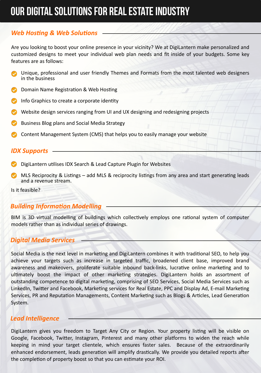## Our Digital Solutions for Real Estate Industry

#### *Web Hosting & Web Solutions*

Are you looking to boost your online presence in your vicinity? We at DigiLantern make personalized and customized designs to meet your individual web plan needs and fit inside of your budgets. Some key features are as follows:

Unique, professional and user friendly Themes and Formats from the most talented web designers in the business

**Domain Name Registration & Web Hosting** 

Info Graphics to create a corporate identity

- Website design services ranging from UI and UX designing and redesigning projects
- Business Blog plans and Social Media Strategy
- Content Management System (CMS) that helps you to easily manage your website

#### *IDX Supports*

- **DigiLantern utilises IDX Search & Lead Capture Plugin for Websites**
- MLS Reciprocity & Listings add MLS & reciprocity listings from any area and start generating leads and a revenue stream.

Is it feasible?

#### **Building Information Modelling -**

BIM is 3D virtual modelling of buildings which collectively employs one rational system of computer models rather than as individual series of drawings.

#### *Digital Media Services*

Social Media is the next level in marketing and DigiLantern combines it with traditional SEO, to help you achieve your targets such as increase in targeted traffic, broadened client base, improved brand awareness and makeovers, proliferate suitable inbound back-links, lucrative online marketing and to ultimately boost the impact of other marketing strategies. DigiLantern holds an assortment of outstanding competence to digital marketing, comprising of SEO Services, Social Media Services such as LinkedIn, Twitter and Facebook, Marketing services for Real Estate, PPC and Display Ad, E-mail Marketing Services, PR and Reputation Managements, Content Marketing such as Blogs & Articles, Lead Generation System.

#### *Lead Intelligence*

DigiLantern gives you freedom to Target Any City or Region. Your property listing will be visible on Google, Facebook, Twitter, Instagram, Pinterest and many other platforms to widen the reach while keeping in mind your target clientele, which ensures faster sales. Because of the extraordinarily enhanced endorsement, leads generation will amplify drastically. We provide you detailed reports after the completion of property boost so that you can estimate your ROI.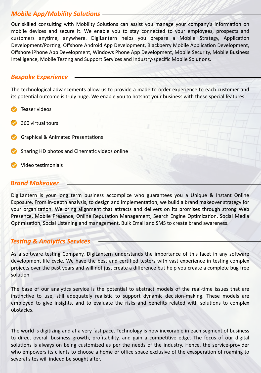#### *Mobile App/Mobility Solutions*

Our skilled consulting with Mobility Solutions can assist you manage your company's information on mobile devices and secure it. We enable you to stay connected to your employees, prospects and customers anytime, anywhere. DigiLantern helps you prepare a Mobile Strategy, Application Development/Porting, Offshore Android App Development, Blackberry Mobile Application Development, Offshore iPhone App Development, Windows Phone App Development, Mobile Security, Mobile Business Intelligence, Mobile Testing and Support Services and Industry-specific Mobile Solutions.

#### *Bespoke Experience*

The technological advancements allow us to provide a made to order experience to each customer and its potential outcome is truly huge. We enable you to hotshot your business with these special features:

- Teaser videos
- 360 virtual tours
- Graphical & Animated Presentations
- Sharing HD photos and Cinema�c videos online
- Video tes�monials

#### *Brand Makeover*

DigiLantern is your long term business accomplice who guarantees you a Unique & Instant Online Exposure. From in-depth analysis, to design and implementation, we build a brand makeover strategy for your organization. We bring alignment that attracts and delivers on its promises through strong Web Presence, Mobile Presence, Online Reputation Management, Search Engine Optimization, Social Media Optimization, Social Listening and management, Bulk Email and SMS to create brand awareness.

#### *Tes�ng & Analy�cs Services*

As a software testing Company, DigiLantern understands the importance of this facet in any software development life cycle. We have the best and certified testers with vast experience in testing complex projects over the past years and will not just create a difference but help you create a complete bug free solution.

The base of our analytics service is the potential to abstract models of the real-time issues that are instinctive to use, still adequately realistic to support dynamic decision-making. These models are employed to give insights, and to evaluate the risks and benefits related with solutions to complex obstacles.

The world is digitizing and at a very fast pace. Technology is now inexorable in each segment of business to direct overall business growth, profitability, and gain a competitive edge. The focus of our digital solutions is always on being customized as per the needs of the industry. Hence, the service-provider who empowers its clients to choose a home or office space exclusive of the exasperation of roaming to several sites will indeed be sought after.